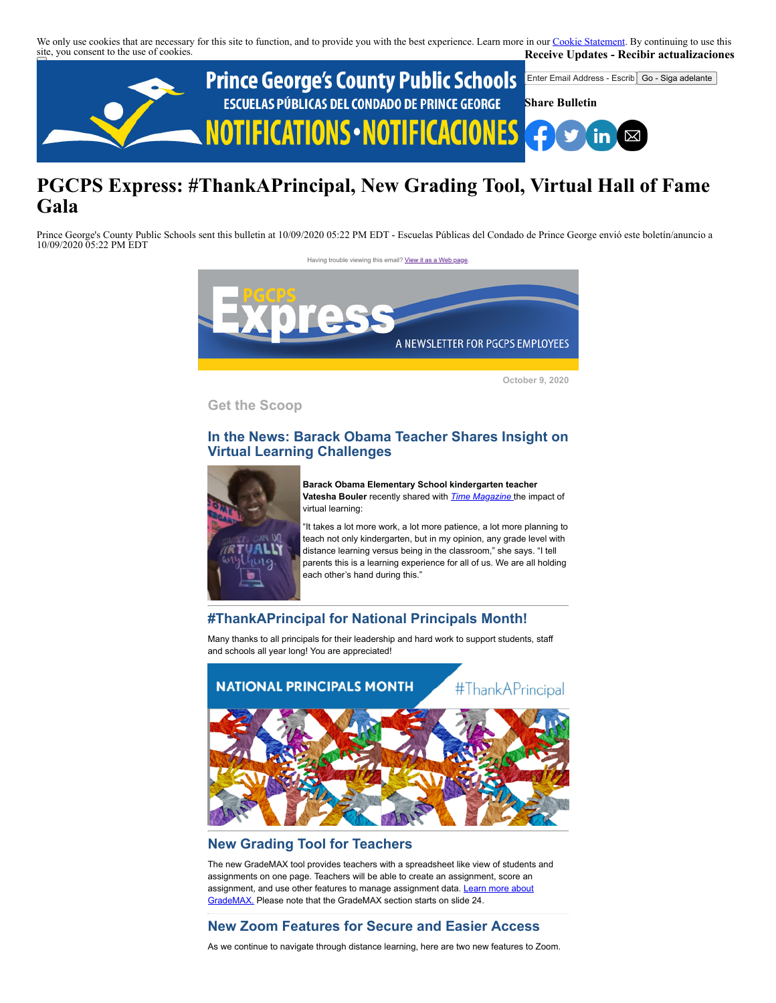We only use cookies that are necessary for this site to function, and to provide you with the best experience. Learn more in our [Cookie Statement.](https://subscriberhelp.granicus.com/s/article/Cookies) By continuing to use this site, you consent to the use of cookies. **Receive Updates - Recibir actualizaciones**



# **PGCPS Express: #ThankAPrincipal, New Grading Tool, Virtual Hall of Fame Gala**

Prince George's County Public Schools sent this bulletin at 10/09/2020 05:22 PM EDT - Escuelas Públicas del Condado de Prince George envió este boletín/anuncio a 10/09/2020 05:22 PM EDT

Having trouble viewing this email? [View it as a Web page](https://content.govdelivery.com/accounts/PGCPS/bulletins/2a4b725)



**October 9, 2020**

**Get the Scoop**

# **In the News: Barack Obama Teacher Shares Insight on Virtual Learning Challenges**



**Barack Obama Elementary School kindergarten teacher Vatesha Bouler** recently shared with *[Time Magazine](https://time.com/5891855/school-coronavirus-kindergarten/)* the impact of virtual learning:

"It takes a lot more work, a lot more patience, a lot more planning to teach not only kindergarten, but in my opinion, any grade level with distance learning versus being in the classroom," she says. "I tell parents this is a learning experience for all of us. We are all holding each other's hand during this."

# **#ThankAPrincipal for National Principals Month!**

Many thanks to all principals for their leadership and hard work to support students, staff and schools all year long! You are appreciated!



# **New Grading Tool for Teachers**

The new GradeMAX tool provides teachers with a spreadsheet like view of students and assignments on one page. Teachers will be able to create an assignment, score an [assignment, and use other features to manage assignment data. Learn more about](https://docs.google.com/presentation/d/13cyPdK22UiMtnj-VwKswJYP4EZAwCq98K1WXTHGzX7E/edit#slide=id.g65a5c374d8_0_179) GradeMAX. Please note that the GradeMAX section starts on slide 24.

# **New Zoom Features for Secure and Easier Access**

As we continue to navigate through distance learning, here are two new features to Zoom.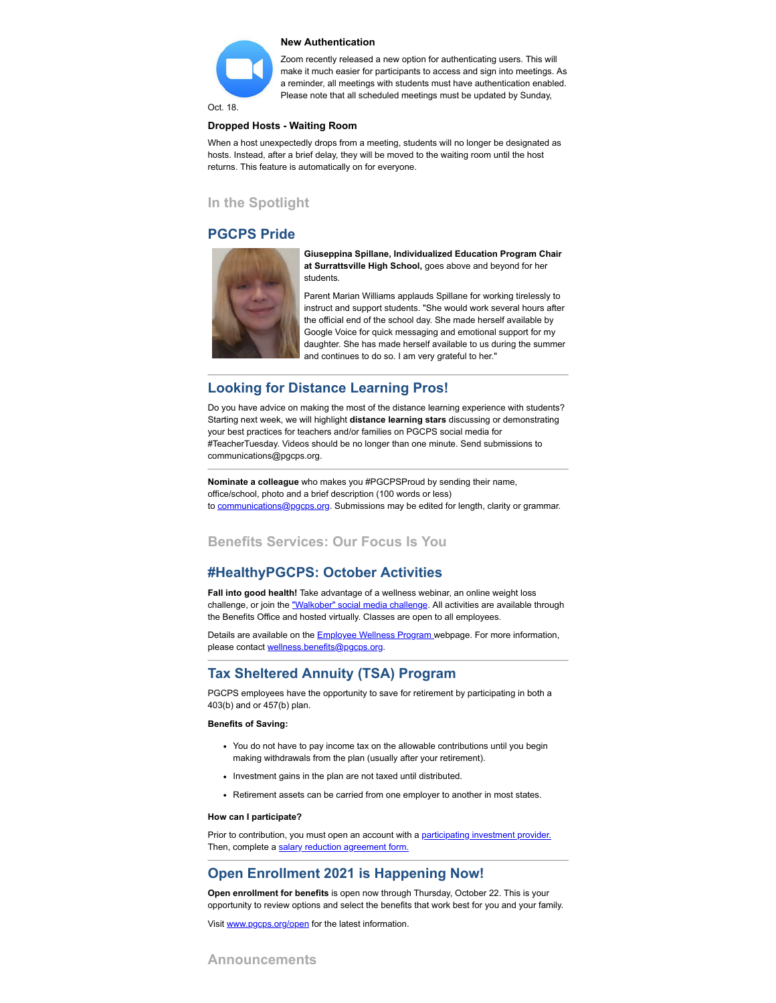

Zoom recently released a new option for authenticating users. This will make it much easier for participants to access and sign into meetings. As a reminder, all meetings with students must have authentication enabled.

Please note that all scheduled meetings must be updated by Sunday,

Oct. 18.

### **Dropped Hosts - Waiting Room**

When a host unexpectedly drops from a meeting, students will no longer be designated as hosts. Instead, after a brief delay, they will be moved to the waiting room until the host returns. This feature is automatically on for everyone.

### **In the Spotlight**

### **PGCPS Pride**



**Giuseppina Spillane, Individualized Education Program Chair at Surrattsville High School,** goes above and beyond for her students.

Parent Marian Williams applauds Spillane for working tirelessly to instruct and support students. "She would work several hours after the official end of the school day. She made herself available by Google Voice for quick messaging and emotional support for my daughter. She has made herself available to us during the summer and continues to do so. I am very grateful to her."

### **Looking for Distance Learning Pros!**

Do you have advice on making the most of the distance learning experience with students? Starting next week, we will highlight **distance learning stars** discussing or demonstrating your best practices for teachers and/or families on PGCPS social media for #TeacherTuesday. Videos should be no longer than one minute. Send submissions to communications@pgcps.org.

**Nominate a colleague** who makes you #PGCPSProud by sending their name, office/school, photo and a brief description (100 words or less) to [communications@pgcps.org](mailto:communications@pgcps.org). Submissions may be edited for length, clarity or grammar.

### **Benefits Services: Our Focus Is You**

### **#HealthyPGCPS: October Activities**

**Fall into good health!** Take advantage of a wellness webinar, an online weight loss challenge, or join the ["Walkober" social media challenge.](https://docs.google.com/forms/d/12igCxqDprOVu6MrWS0LwLa3q_rIPeisP06KBAM2qQaI/edit?ts=5f68b189&gxids=7628) All activities are available through the Benefits Office and hosted virtually. Classes are open to all employees.

Details are available on the **Employee Wellness Program** webpage. For more information, please contact [wellness.benefits@pgcps.org](mailto:wellness.benefits@pgcps.org).

### **Tax Sheltered Annuity (TSA) Program**

PGCPS employees have the opportunity to save for retirement by participating in both a 403(b) and or 457(b) plan.

### **Benefits of Saving:**

- You do not have to pay income tax on the allowable contributions until you begin making withdrawals from the plan (usually after your retirement).
- Investment gains in the plan are not taxed until distributed.
- Retirement assets can be carried from one employer to another in most states.

#### **How can I participate?**

Prior to contribution, you must open an account with a [participating investment provider.](https://offices.pgcps.org/benefits/tax-sheltered-annuity-tsa/) Then, complete a [salary reduction agreement form.](https://omni403b.com/SRA/Landing/4031275)

### **Open Enrollment 2021 is Happening Now!**

**Open enrollment for benefits** is open now through Thursday, October 22. This is your opportunity to review options and select the benefits that work best for you and your family.

Visit [www.pgcps.org/open](http://www.pgcps.org/open/) for the latest information.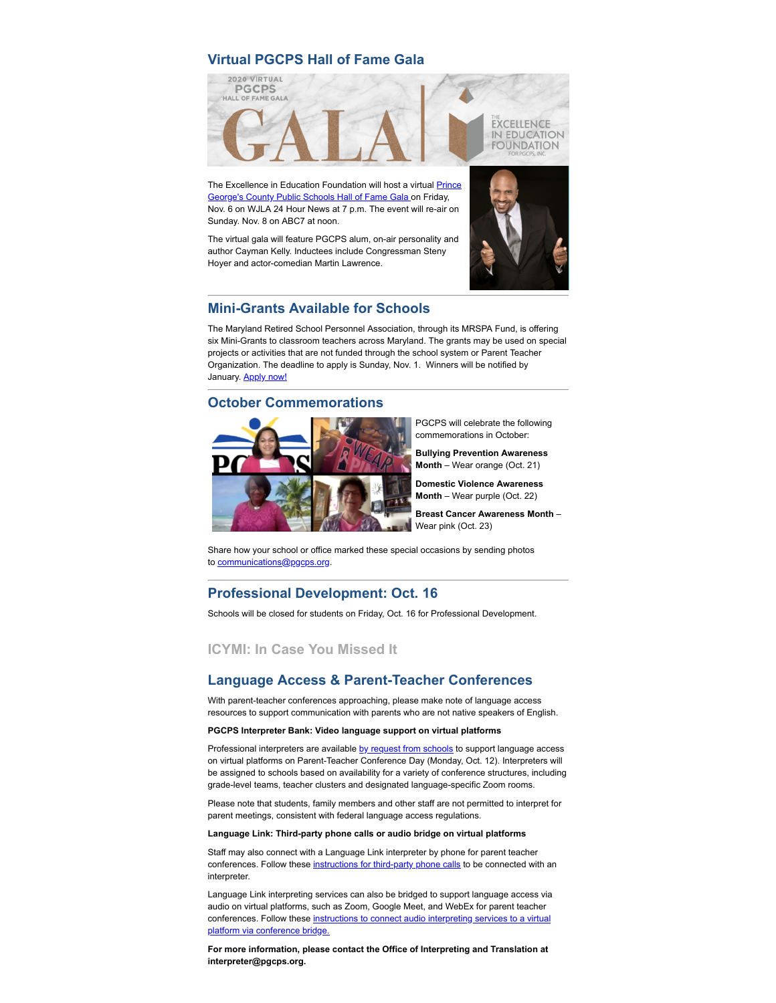### **Virtual PGCPS Hall of Fame Gala**



[The Excellence in Education Foundation will host a virtual Prince](https://offices.pgcps.org/2020gala/) George's County Public Schools Hall of Fame Gala on Friday, Nov. 6 on WJLA 24 Hour News at 7 p.m. The event will re-air on Sunday. Nov. 8 on ABC7 at noon.

The virtual gala will feature PGCPS alum, on-air personality and author Cayman Kelly. Inductees include Congressman Steny Hoyer and actor-comedian Martin Lawrence.





# **Mini-Grants Available for Schools**

The Maryland Retired School Personnel Association, through its MRSPA Fund, is offering six Mini-Grants to classroom teachers across Maryland. The grants may be used on special projects or activities that are not funded through the school system or Parent Teacher Organization. The deadline to apply is Sunday, Nov. 1. Winners will be notified by January. **Apply now!** 

### **October Commemorations**



PGCPS will celebrate the following commemorations in October:

**Bullying Prevention Awareness Month** – Wear orange (Oct. 21)

**Domestic Violence Awareness Month** – Wear purple (Oct. 22)

**Breast Cancer Awareness Month** – Wear pink (Oct. 23)

Share how your school or office marked these special occasions by sending photos to [communications@pgcps.org](mailto:communications@pgcps.org).

### **Professional Development: Oct. 16**

Schools will be closed for students on Friday, Oct. 16 for Professional Development.

### **ICYMI: In Case You Missed It**

### **Language Access & Parent-Teacher Conferences**

With parent-teacher conferences approaching, please make note of language access resources to support communication with parents who are not native speakers of English.

#### **PGCPS Interpreter Bank: Video language support on virtual platforms**

Professional interpreters are available [by request from schools](https://www.gofluently.com/PGCPS/Login.aspx?ReturnUrl=%2fPGCPS%2f) to support language access on virtual platforms on Parent-Teacher Conference Day (Monday, Oct. 12). Interpreters will be assigned to schools based on availability for a variety of conference structures, including grade-level teams, teacher clusters and designated language-specific Zoom rooms.

Please note that students, family members and other staff are not permitted to interpret for parent meetings, consistent with federal language access regulations.

### **Language Link: Third-party phone calls or audio bridge on virtual platforms**

Staff may also connect with a Language Link interpreter by phone for parent teacher conferences. Follow these [instructions for third-party phone calls](https://docs.google.com/document/d/1qDF-_P5TAS4WRGF_Xh160tdK-qvvICnO9IX7Xg3WClk/edit?usp=sharing) to be connected with an interpreter.

Language Link interpreting services can also be bridged to support language access via audio on virtual platforms, such as Zoom, Google Meet, and WebEx for parent teacher [conferences. Follow these instructions to connect audio interpreting services to a virtual](https://docs.google.com/document/d/1-F4k6MDtb_YyXfiOOyscal1T4CZZtPKI9uEL8reiE0o/edit?usp=sharing) platform via conference bridge.

**For more information, please contact the Office of Interpreting and Translation at interpreter@pgcps.org.**